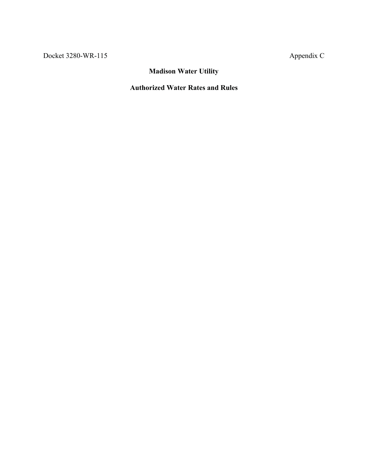## **Madison Water Utility**

## **Authorized Water Rates and Rules**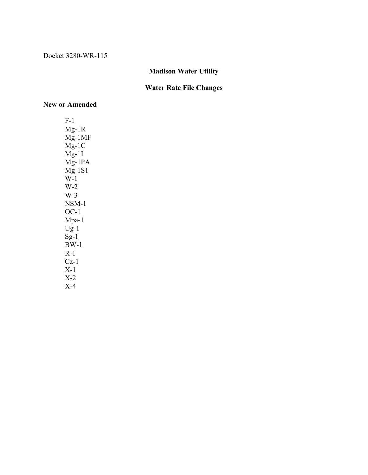## **Madison Water Utility**

## **Water Rate File Changes**

## **New or Amended**

F-1 Mg-1R Mg-1MF Mg-1C  $Mg-1I$ Mg-1PA  $Mg-1S1$ W-1 W-2 W-3 NSM-1 OC-1 Mpa-1  $U_{g-1}$  $Sg-1$  $BW-1$ R-1 Cz-1 X-1 X-2 X-4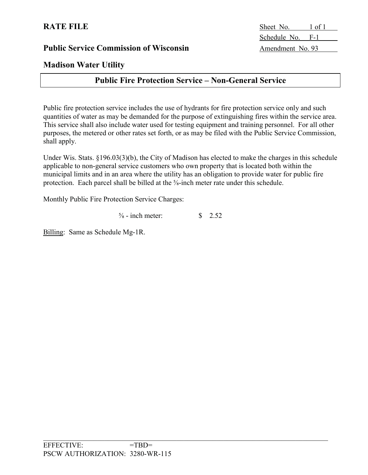## **Madison Water Utility**

## **Public Fire Protection Service – Non-General Service**

Public fire protection service includes the use of hydrants for fire protection service only and such quantities of water as may be demanded for the purpose of extinguishing fires within the service area. This service shall also include water used for testing equipment and training personnel. For all other purposes, the metered or other rates set forth, or as may be filed with the Public Service Commission, shall apply.

Under Wis. Stats. §196.03(3)(b), the City of Madison has elected to make the charges in this schedule applicable to non-general service customers who own property that is located both within the municipal limits and in an area where the utility has an obligation to provide water for public fire protection. Each parcel shall be billed at the  $\frac{5}{8}$ -inch meter rate under this schedule.

Monthly Public Fire Protection Service Charges:

 $\frac{5}{8}$  - inch meter:  $\qquad$  \$ 2.52

Billing: Same as Schedule Mg-1R.

**RATE FILE** Sheet No. 1 of 1 Schedule No. F-1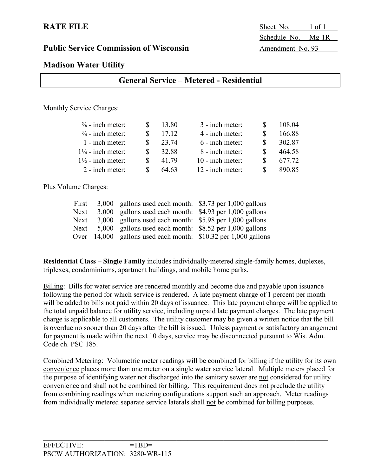**RATE FILE** Sheet No. 1 of 1 Schedule No. Mg-1R

## **Madison Water Utility**

| Monthly Service Charges:     |   |       |                   |   |        |
|------------------------------|---|-------|-------------------|---|--------|
| $\frac{5}{8}$ - inch meter:  | S | 13.80 | 3 - inch meter:   |   | 108.04 |
| $\frac{3}{4}$ - inch meter:  | S | 17.12 | 4 - inch meter:   |   | 166.88 |
| $1$ - inch meter:            | S | 23.74 | $6$ - inch meter: | S | 302.87 |
| $1\frac{1}{4}$ - inch meter: | S | 32.88 | 8 - inch meter:   |   | 464.58 |
| $1\frac{1}{2}$ - inch meter: | S | 41.79 | 10 - inch meter:  |   | 677.72 |
| 2 - inch meter:              | S | 64.63 | 12 - inch meter:  |   | 890.85 |

**General Service – Metered - Residential**

Plus Volume Charges:

| First | 3,000 gallons used each month: \$3.73 per 1,000 gallons        |  |
|-------|----------------------------------------------------------------|--|
| Next  | 3,000 gallons used each month: \$4.93 per 1,000 gallons        |  |
| Next  | 3,000 gallons used each month: \$5.98 per 1,000 gallons        |  |
| Next  | 5,000 gallons used each month: \$8.52 per 1,000 gallons        |  |
|       | Over 14,000 gallons used each month: \$10.32 per 1,000 gallons |  |

**Residential Class – Single Family** includes individually-metered single-family homes, duplexes, triplexes, condominiums, apartment buildings, and mobile home parks.

Billing: Bills for water service are rendered monthly and become due and payable upon issuance following the period for which service is rendered. A late payment charge of 1 percent per month will be added to bills not paid within 20 days of issuance. This late payment charge will be applied to the total unpaid balance for utility service, including unpaid late payment charges. The late payment charge is applicable to all customers. The utility customer may be given a written notice that the bill is overdue no sooner than 20 days after the bill is issued. Unless payment or satisfactory arrangement for payment is made within the next 10 days, service may be disconnected pursuant to Wis. Adm. Code ch. PSC 185.

Combined Metering: Volumetric meter readings will be combined for billing if the utility for its own convenience places more than one meter on a single water service lateral. Multiple meters placed for the purpose of identifying water not discharged into the sanitary sewer are not considered for utility convenience and shall not be combined for billing. This requirement does not preclude the utility from combining readings when metering configurations support such an approach. Meter readings from individually metered separate service laterals shall not be combined for billing purposes.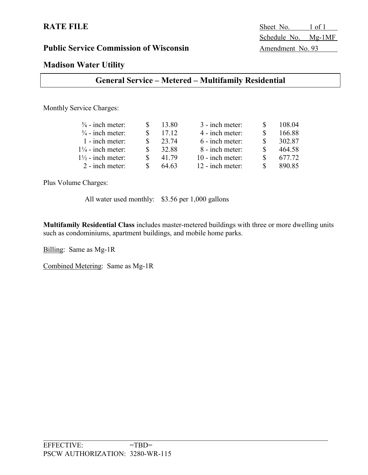**RATE FILE** Sheet No. 1 of 1 Schedule No. Mg-1MF

## **Madison Water Utility**

## **General Service – Metered – Multifamily Residential**

Monthly Service Charges:

| $\frac{5}{8}$ - inch meter:  | 13.80 | 3 - inch meter:  | 108.04 |
|------------------------------|-------|------------------|--------|
| $\frac{3}{4}$ - inch meter:  | 17.12 | 4 - inch meter:  | 166.88 |
| 1 - inch meter:              | 23.74 | 6 - inch meter:  | 302.87 |
| $1\frac{1}{4}$ - inch meter: | 32.88 | 8 - inch meter:  | 464.58 |
| $1\frac{1}{2}$ - inch meter: | 41.79 | 10 - inch meter: | 677.72 |
| 2 - inch meter:              | 64.63 | 12 - inch meter: | 890.85 |

Plus Volume Charges:

All water used monthly: \$3.56 per 1,000 gallons

**Multifamily Residential Class** includes master-metered buildings with three or more dwelling units such as condominiums, apartment buildings, and mobile home parks.

Billing: Same as Mg-1R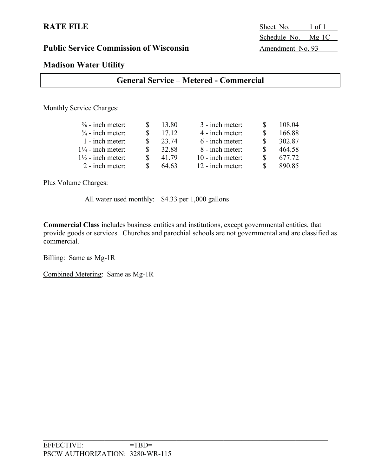**RATE FILE** Sheet No. 1 of 1 Schedule No. Mg-1C

## **Madison Water Utility**

Monthly Service Charges:

| $\frac{5}{8}$ - inch meter:  | 13.80 | 3 - inch meter:  | 108.04 |
|------------------------------|-------|------------------|--------|
| $\frac{3}{4}$ - inch meter:  | 17.12 | 4 - inch meter:  | 166.88 |
| 1 - inch meter:              | 23.74 | 6 - inch meter:  | 302.87 |
| $1\frac{1}{4}$ - inch meter: | 32.88 | 8 - inch meter:  | 464.58 |
| $1\frac{1}{2}$ - inch meter: | 41.79 | 10 - inch meter: | 677.72 |
| 2 - inch meter:              | 64.63 | 12 - inch meter: | 890.85 |

Plus Volume Charges:

All water used monthly: \$4.33 per 1,000 gallons

**Commercial Class** includes business entities and institutions, except governmental entities, that provide goods or services. Churches and parochial schools are not governmental and are classified as commercial.

Billing: Same as Mg-1R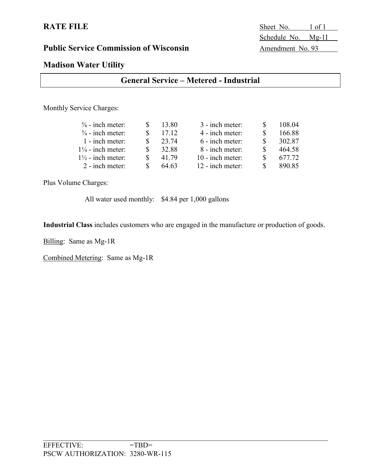**RATE FILE** Sheet No. 1 of 1 Schedule No. Mg-11

## **Madison Water Utility**

| <b>General Service – Metered - Industrial</b> |
|-----------------------------------------------|
|                                               |

Monthly Service Charges:

| $\frac{5}{8}$ - inch meter:  | 13.80 | 3 - inch meter:  | 108.04 |
|------------------------------|-------|------------------|--------|
| $\frac{3}{4}$ - inch meter:  | 17.12 | 4 - inch meter:  | 166.88 |
| 1 - inch meter:              | 23.74 | 6 - inch meter:  | 302.87 |
| $1\frac{1}{4}$ - inch meter: | 32.88 | 8 - inch meter:  | 464.58 |
| $1\frac{1}{2}$ - inch meter: | 41.79 | 10 - inch meter: | 677.72 |
| 2 - inch meter:              | 64.63 | 12 - inch meter: | 890.85 |

Plus Volume Charges:

All water used monthly: \$4.84 per 1,000 gallons

**Industrial Class** includes customers who are engaged in the manufacture or production of goods.

Billing: Same as Mg-1R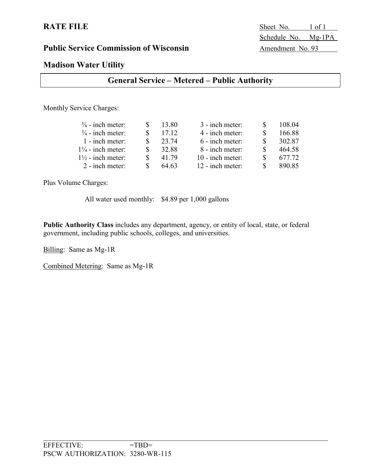**RATE FILE** Sheet No. 1 of 1 Schedule No. Mg-1PA

## **Madison Water Utility**

| <b>General Service – Metered – Public Authority</b> |  |  |  |
|-----------------------------------------------------|--|--|--|
|-----------------------------------------------------|--|--|--|

Monthly Service Charges:

| $\frac{5}{8}$ - inch meter:  | 13.80 | 3 - inch meter:  | 108.04 |
|------------------------------|-------|------------------|--------|
| $\frac{3}{4}$ - inch meter:  | 17.12 | 4 - inch meter:  | 166.88 |
| $1$ - inch meter:            | 23.74 | 6 - inch meter:  | 302.87 |
| $1\frac{1}{4}$ - inch meter: | 32.88 | 8 - inch meter:  | 464.58 |
| $1\frac{1}{2}$ - inch meter: | 41.79 | 10 - inch meter: | 677.72 |
| 2 - inch meter:              | 64.63 | 12 - inch meter: | 890.85 |

Plus Volume Charges:

All water used monthly: \$4.89 per 1,000 gallons

**Public Authority Class** includes any department, agency, or entity of local, state, or federal government, including public schools, colleges, and universities.

Billing: Same as Mg-1R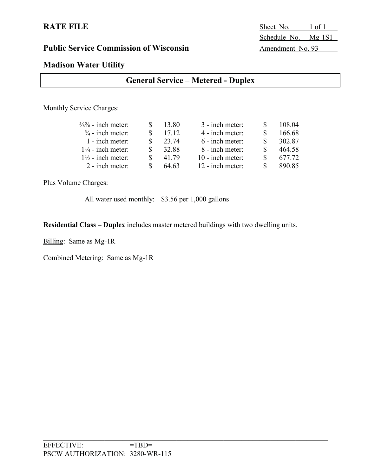**RATE FILE** Sheet No. 1 of 1 Schedule No. Mg-1S1

## **Madison Water Utility**

## **General Service – Metered - Duplex**

Monthly Service Charges:

| $\frac{5}{8}$ - inch meter:  | 13.80 | 3 - inch meter:  | 108.04 |
|------------------------------|-------|------------------|--------|
| $\frac{3}{4}$ - inch meter:  | 17.12 | 4 - inch meter:  | 166.68 |
| 1 - inch meter:              | 23.74 | 6 - inch meter:  | 302.87 |
| $1\frac{1}{4}$ - inch meter: | 32.88 | 8 - inch meter:  | 464.58 |
| $1\frac{1}{2}$ - inch meter: | 41.79 | 10 - inch meter: | 677.72 |
| 2 - inch meter:              | 64.63 | 12 - inch meter: | 890.85 |

Plus Volume Charges:

All water used monthly: \$3.56 per 1,000 gallons

**Residential Class – Duplex** includes master metered buildings with two dwelling units.

Billing: Same as Mg-1R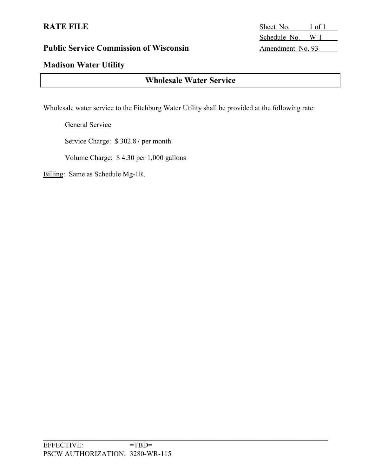## **Madison Water Utility**

## **Wholesale Water Service**

Wholesale water service to the Fitchburg Water Utility shall be provided at the following rate:

General Service

Service Charge: \$ 302.87 per month

Volume Charge: \$ 4.30 per 1,000 gallons

Billing: Same as Schedule Mg-1R.

**RATE FILE** Sheet No. 1 of 1 Schedule No. W-1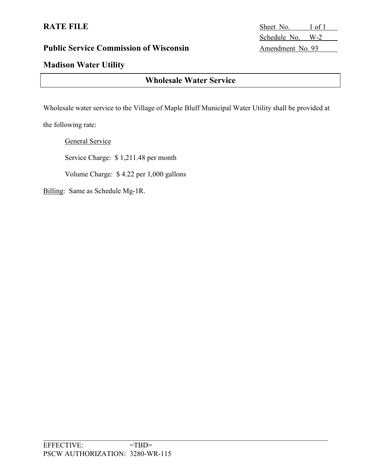## **Madison Water Utility**

## **Wholesale Water Service**

Wholesale water service to the Village of Maple Bluff Municipal Water Utility shall be provided at

the following rate:

General Service

Service Charge: \$ 1,211.48 per month

Volume Charge: \$ 4.22 per 1,000 gallons

Billing: Same as Schedule Mg-1R.

**RATE FILE** Sheet No. 1 of 1 Schedule No. W-2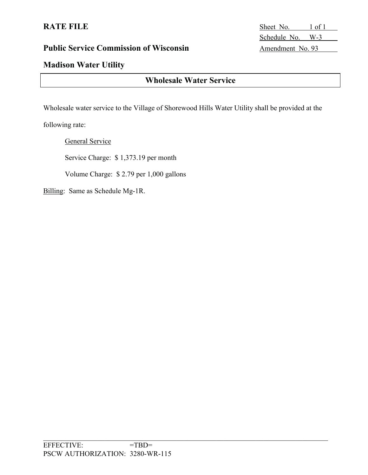## **Madison Water Utility**

## **Wholesale Water Service**

Wholesale water service to the Village of Shorewood Hills Water Utility shall be provided at the

following rate:

General Service

Service Charge: \$ 1,373.19 per month

Volume Charge: \$ 2.79 per 1,000 gallons

Billing: Same as Schedule Mg-1R.

**RATE FILE** Sheet No. 1 of 1 Schedule No. W-3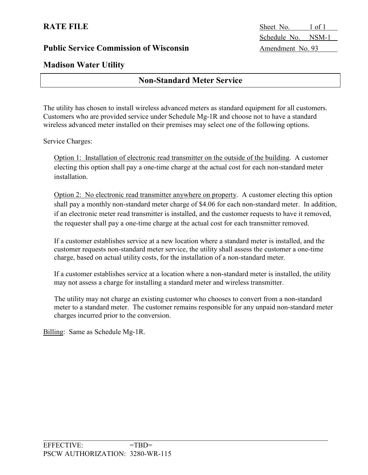**RATE FILE** Sheet No. 1 of 1 Schedule No. NSM-1

## **Madison Water Utility**

## **Non-Standard Meter Service**

The utility has chosen to install wireless advanced meters as standard equipment for all customers. Customers who are provided service under Schedule Mg-1R and choose not to have a standard wireless advanced meter installed on their premises may select one of the following options.

Service Charges:

Option 1: Installation of electronic read transmitter on the outside of the building. A customer electing this option shall pay a one-time charge at the actual cost for each non-standard meter installation.

Option 2: No electronic read transmitter anywhere on property. A customer electing this option shall pay a monthly non-standard meter charge of \$4.06 for each non-standard meter. In addition, if an electronic meter read transmitter is installed, and the customer requests to have it removed, the requester shall pay a one-time charge at the actual cost for each transmitter removed.

If a customer establishes service at a new location where a standard meter is installed, and the customer requests non-standard meter service, the utility shall assess the customer a one-time charge, based on actual utility costs, for the installation of a non-standard meter.

If a customer establishes service at a location where a non-standard meter is installed, the utility may not assess a charge for installing a standard meter and wireless transmitter.

The utility may not charge an existing customer who chooses to convert from a non-standard meter to a standard meter. The customer remains responsible for any unpaid non-standard meter charges incurred prior to the conversion.

Billing: Same as Schedule Mg-1R.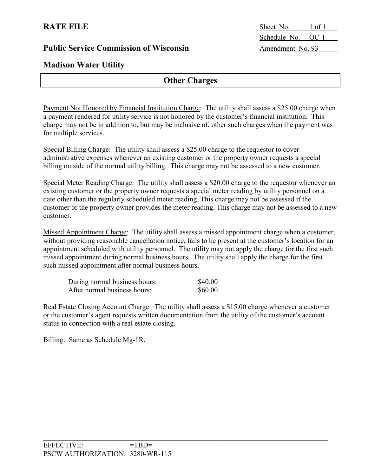**Madison Water Utility**

## **Other Charges**

Payment Not Honored by Financial Institution Charge: The utility shall assess a \$25.00 charge when a payment rendered for utility service is not honored by the customer's financial institution. This charge may not be in addition to, but may be inclusive of, other such charges when the payment was for multiple services.

Special Billing Charge: The utility shall assess a \$25.00 charge to the requestor to cover administrative expenses whenever an existing customer or the property owner requests a special billing outside of the normal utility billing. This charge may not be assessed to a new customer.

Special Meter Reading Charge: The utility shall assess a \$20.00 charge to the requestor whenever an existing customer or the property owner requests a special meter reading by utility personnel on a date other than the regularly scheduled meter reading. This charge may not be assessed if the customer or the property owner provides the meter reading. This charge may not be assessed to a new customer.

Missed Appointment Charge: The utility shall assess a missed appointment charge when a customer, without providing reasonable cancellation notice, fails to be present at the customer's location for an appointment scheduled with utility personnel. The utility may not apply the charge for the first such missed appointment during normal business hours. The utility shall apply the charge for the first such missed appointment after normal business hours.

| During normal business hours: | \$40.00 |
|-------------------------------|---------|
| After normal business hours:  | \$60.00 |

Real Estate Closing Account Charge: The utility shall assess a \$15.00 charge whenever a customer or the customer's agent requests written documentation from the utility of the customer's account status in connection with a real estate closing.

Billing: Same as Schedule Mg-1R.

**RATE FILE** Sheet No. 1 of 1 Schedule No. OC-1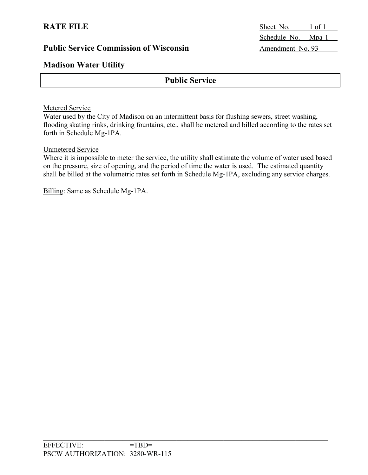## **Madison Water Utility**

## **Public Service**

### Metered Service

Water used by the City of Madison on an intermittent basis for flushing sewers, street washing, flooding skating rinks, drinking fountains, etc., shall be metered and billed according to the rates set forth in Schedule Mg-1PA.

### Unmetered Service

Where it is impossible to meter the service, the utility shall estimate the volume of water used based on the pressure, size of opening, and the period of time the water is used. The estimated quantity shall be billed at the volumetric rates set forth in Schedule Mg-1PA, excluding any service charges.

Billing: Same as Schedule Mg-1PA.

**RATE FILE** Sheet No. 1 of 1 Schedule No. Mpa-1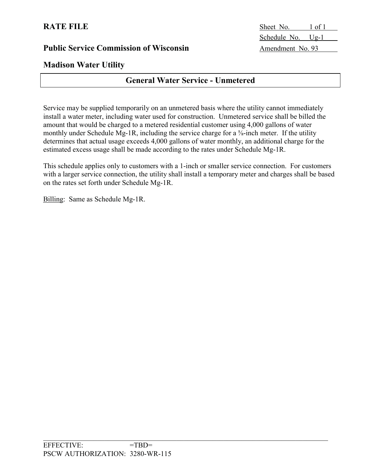## **Madison Water Utility**

## **General Water Service - Unmetered**

Service may be supplied temporarily on an unmetered basis where the utility cannot immediately install a water meter, including water used for construction. Unmetered service shall be billed the amount that would be charged to a metered residential customer using 4,000 gallons of water monthly under Schedule Mg-1R, including the service charge for a  $\frac{5}{8}$ -inch meter. If the utility determines that actual usage exceeds 4,000 gallons of water monthly, an additional charge for the estimated excess usage shall be made according to the rates under Schedule Mg-1R.

This schedule applies only to customers with a 1-inch or smaller service connection. For customers with a larger service connection, the utility shall install a temporary meter and charges shall be based on the rates set forth under Schedule Mg-1R.

Billing: Same as Schedule Mg-1R.

**RATE FILE** Sheet No. 1 of 1 Schedule No. Ug-1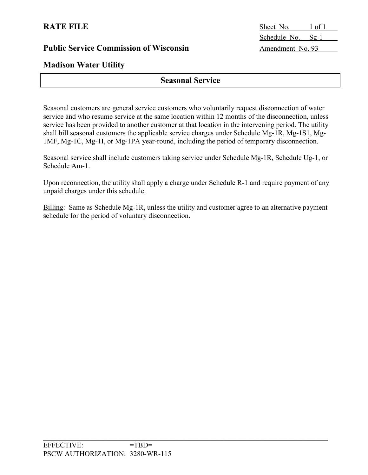**RATE FILE** Sheet No. 1 of 1 Schedule No. Sg-1

## **Madison Water Utility**

## **Seasonal Service**

Seasonal customers are general service customers who voluntarily request disconnection of water service and who resume service at the same location within 12 months of the disconnection, unless service has been provided to another customer at that location in the intervening period. The utility shall bill seasonal customers the applicable service charges under Schedule Mg-1R, Mg-1S1, Mg-1MF, Mg-1C, Mg-1I, or Mg-1PA year-round, including the period of temporary disconnection.

Seasonal service shall include customers taking service under Schedule Mg-1R, Schedule Ug-1, or Schedule Am-1.

Upon reconnection, the utility shall apply a charge under Schedule R-1 and require payment of any unpaid charges under this schedule.

Billing: Same as Schedule Mg-1R, unless the utility and customer agree to an alternative payment schedule for the period of voluntary disconnection.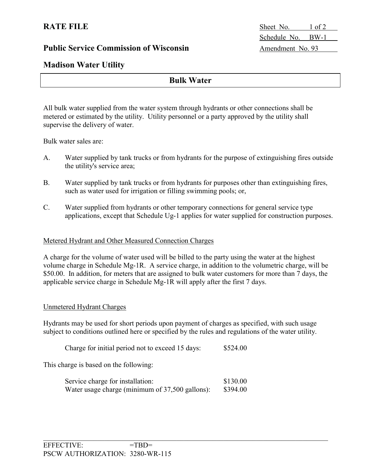**RATE FILE** Sheet No. 1 of 2 Schedule No. BW-1

## **Madison Water Utility**

## **Bulk Water**

All bulk water supplied from the water system through hydrants or other connections shall be metered or estimated by the utility. Utility personnel or a party approved by the utility shall supervise the delivery of water.

Bulk water sales are:

- A. Water supplied by tank trucks or from hydrants for the purpose of extinguishing fires outside the utility's service area;
- B. Water supplied by tank trucks or from hydrants for purposes other than extinguishing fires, such as water used for irrigation or filling swimming pools; or,
- C. Water supplied from hydrants or other temporary connections for general service type applications, except that Schedule Ug-1 applies for water supplied for construction purposes.

### Metered Hydrant and Other Measured Connection Charges

A charge for the volume of water used will be billed to the party using the water at the highest volume charge in Schedule Mg-1R. A service charge, in addition to the volumetric charge, will be \$50.00. In addition, for meters that are assigned to bulk water customers for more than 7 days, the applicable service charge in Schedule Mg-1R will apply after the first 7 days.

### Unmetered Hydrant Charges

Hydrants may be used for short periods upon payment of charges as specified, with such usage subject to conditions outlined here or specified by the rules and regulations of the water utility.

Charge for initial period not to exceed 15 days: \$524.00

This charge is based on the following:

| Service charge for installation:                | \$130.00 |
|-------------------------------------------------|----------|
| Water usage charge (minimum of 37,500 gallons): | \$394.00 |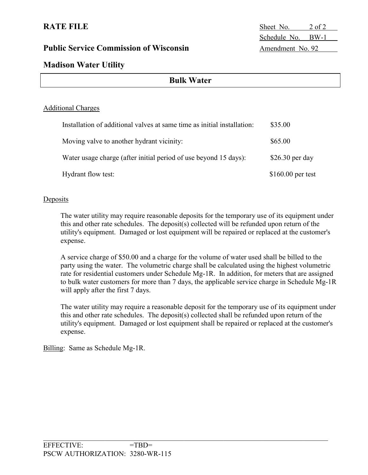**RATE FILE** Sheet No. 2 of 2 Schedule No. BW-1

## **Madison Water Utility**

| <b>Bulk Water</b> |  |
|-------------------|--|
|-------------------|--|

### Additional Charges

| Installation of additional valves at same time as initial installation: | \$35.00            |
|-------------------------------------------------------------------------|--------------------|
| Moving valve to another hydrant vicinity:                               | \$65.00            |
| Water usage charge (after initial period of use beyond 15 days):        | $$26.30$ per day   |
| Hydrant flow test:                                                      | $$160.00$ per test |

#### Deposits

The water utility may require reasonable deposits for the temporary use of its equipment under this and other rate schedules. The deposit(s) collected will be refunded upon return of the utility's equipment. Damaged or lost equipment will be repaired or replaced at the customer's expense.

A service charge of \$50.00 and a charge for the volume of water used shall be billed to the party using the water. The volumetric charge shall be calculated using the highest volumetric rate for residential customers under Schedule Mg-1R. In addition, for meters that are assigned to bulk water customers for more than 7 days, the applicable service charge in Schedule Mg-1R will apply after the first 7 days.

The water utility may require a reasonable deposit for the temporary use of its equipment under this and other rate schedules. The deposit(s) collected shall be refunded upon return of the utility's equipment. Damaged or lost equipment shall be repaired or replaced at the customer's expense.

Billing: Same as Schedule Mg-1R.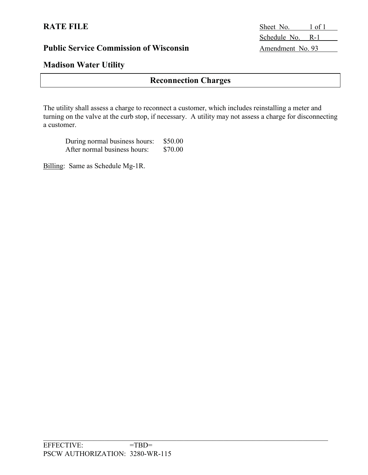## **Madison Water Utility**

## **Reconnection Charges**

The utility shall assess a charge to reconnect a customer, which includes reinstalling a meter and turning on the valve at the curb stop, if necessary. A utility may not assess a charge for disconnecting a customer.

| During normal business hours: | \$50.00 |
|-------------------------------|---------|
| After normal business hours:  | \$70.00 |

Billing: Same as Schedule Mg-1R.

**RATE FILE** Sheet No. 1 of 1 Schedule No. R-1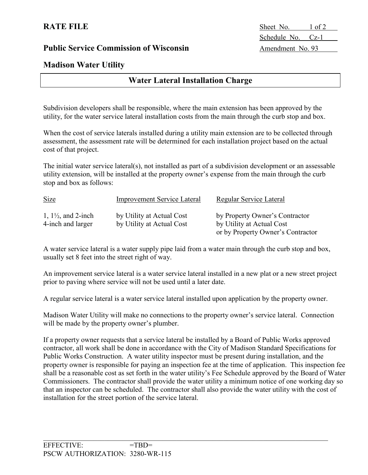**Madison Water Utility**

## **Water Lateral Installation Charge**

Subdivision developers shall be responsible, where the main extension has been approved by the utility, for the water service lateral installation costs from the main through the curb stop and box.

When the cost of service laterals installed during a utility main extension are to be collected through assessment, the assessment rate will be determined for each installation project based on the actual cost of that project.

The initial water service lateral(s), not installed as part of a subdivision development or an assessable utility extension, will be installed at the property owner's expense from the main through the curb stop and box as follows:

| <b>Size</b>                                         | <b>Improvement Service Lateral</b>                     | Regular Service Lateral                                     |
|-----------------------------------------------------|--------------------------------------------------------|-------------------------------------------------------------|
| 1, $1\frac{1}{2}$ , and 2-inch<br>4-inch and larger | by Utility at Actual Cost<br>by Utility at Actual Cost | by Property Owner's Contractor<br>by Utility at Actual Cost |
|                                                     |                                                        | or by Property Owner's Contractor                           |

A water service lateral is a water supply pipe laid from a water main through the curb stop and box, usually set 8 feet into the street right of way.

An improvement service lateral is a water service lateral installed in a new plat or a new street project prior to paving where service will not be used until a later date.

A regular service lateral is a water service lateral installed upon application by the property owner.

Madison Water Utility will make no connections to the property owner's service lateral. Connection will be made by the property owner's plumber.

If a property owner requests that a service lateral be installed by a Board of Public Works approved contractor, all work shall be done in accordance with the City of Madison Standard Specifications for Public Works Construction. A water utility inspector must be present during installation, and the property owner is responsible for paying an inspection fee at the time of application. This inspection fee shall be a reasonable cost as set forth in the water utility's Fee Schedule approved by the Board of Water Commissioners. The contractor shall provide the water utility a minimum notice of one working day so that an inspector can be scheduled. The contractor shall also provide the water utility with the cost of installation for the street portion of the service lateral.

**RATE FILE** Sheet No. 1 of 2 Schedule No. Cz-1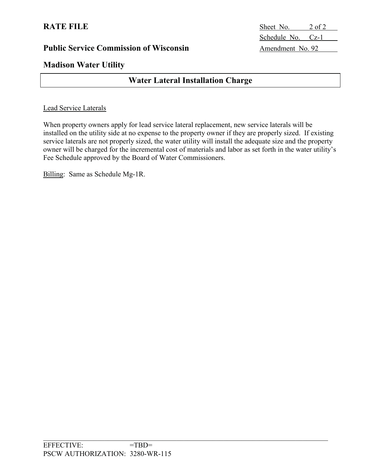**RATE FILE** Sheet No. 2 of 2 Schedule No. Cz-1

## **Madison Water Utility**

## **Water Lateral Installation Charge**

### Lead Service Laterals

When property owners apply for lead service lateral replacement, new service laterals will be installed on the utility side at no expense to the property owner if they are properly sized. If existing service laterals are not properly sized, the water utility will install the adequate size and the property owner will be charged for the incremental cost of materials and labor as set forth in the water utility's Fee Schedule approved by the Board of Water Commissioners.

Billing: Same as Schedule Mg-1R.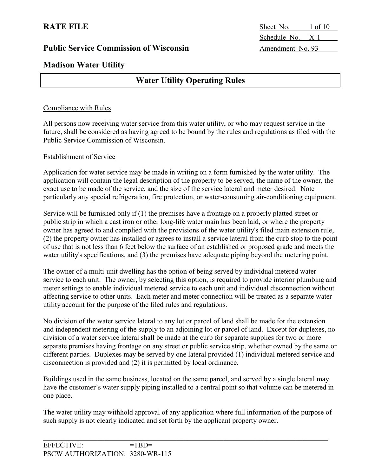**RATE FILE** Sheet No. 1 of 10 Schedule No. X-1

## **Madison Water Utility**

## **Water Utility Operating Rules**

### Compliance with Rules

All persons now receiving water service from this water utility, or who may request service in the future, shall be considered as having agreed to be bound by the rules and regulations as filed with the Public Service Commission of Wisconsin.

### Establishment of Service

Application for water service may be made in writing on a form furnished by the water utility. The application will contain the legal description of the property to be served, the name of the owner, the exact use to be made of the service, and the size of the service lateral and meter desired. Note particularly any special refrigeration, fire protection, or water-consuming air-conditioning equipment.

Service will be furnished only if (1) the premises have a frontage on a properly platted street or public strip in which a cast iron or other long-life water main has been laid, or where the property owner has agreed to and complied with the provisions of the water utility's filed main extension rule, (2) the property owner has installed or agrees to install a service lateral from the curb stop to the point of use that is not less than 6 feet below the surface of an established or proposed grade and meets the water utility's specifications, and (3) the premises have adequate piping beyond the metering point.

The owner of a multi-unit dwelling has the option of being served by individual metered water service to each unit. The owner, by selecting this option, is required to provide interior plumbing and meter settings to enable individual metered service to each unit and individual disconnection without affecting service to other units. Each meter and meter connection will be treated as a separate water utility account for the purpose of the filed rules and regulations.

No division of the water service lateral to any lot or parcel of land shall be made for the extension and independent metering of the supply to an adjoining lot or parcel of land. Except for duplexes, no division of a water service lateral shall be made at the curb for separate supplies for two or more separate premises having frontage on any street or public service strip, whether owned by the same or different parties. Duplexes may be served by one lateral provided (1) individual metered service and disconnection is provided and (2) it is permitted by local ordinance.

Buildings used in the same business, located on the same parcel, and served by a single lateral may have the customer's water supply piping installed to a central point so that volume can be metered in one place.

The water utility may withhold approval of any application where full information of the purpose of such supply is not clearly indicated and set forth by the applicant property owner.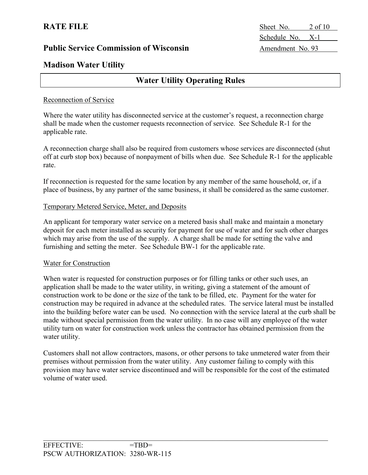**RATE FILE** Sheet No. 2 of 10 Schedule No. X-1

## **Madison Water Utility**

## **Water Utility Operating Rules**

### Reconnection of Service

Where the water utility has disconnected service at the customer's request, a reconnection charge shall be made when the customer requests reconnection of service. See Schedule R-1 for the applicable rate.

A reconnection charge shall also be required from customers whose services are disconnected (shut off at curb stop box) because of nonpayment of bills when due. See Schedule R-1 for the applicable rate.

If reconnection is requested for the same location by any member of the same household, or, if a place of business, by any partner of the same business, it shall be considered as the same customer.

### Temporary Metered Service, Meter, and Deposits

An applicant for temporary water service on a metered basis shall make and maintain a monetary deposit for each meter installed as security for payment for use of water and for such other charges which may arise from the use of the supply. A charge shall be made for setting the valve and furnishing and setting the meter. See Schedule BW-1 for the applicable rate.

### Water for Construction

When water is requested for construction purposes or for filling tanks or other such uses, an application shall be made to the water utility, in writing, giving a statement of the amount of construction work to be done or the size of the tank to be filled, etc. Payment for the water for construction may be required in advance at the scheduled rates. The service lateral must be installed into the building before water can be used. No connection with the service lateral at the curb shall be made without special permission from the water utility. In no case will any employee of the water utility turn on water for construction work unless the contractor has obtained permission from the water utility.

Customers shall not allow contractors, masons, or other persons to take unmetered water from their premises without permission from the water utility. Any customer failing to comply with this provision may have water service discontinued and will be responsible for the cost of the estimated volume of water used.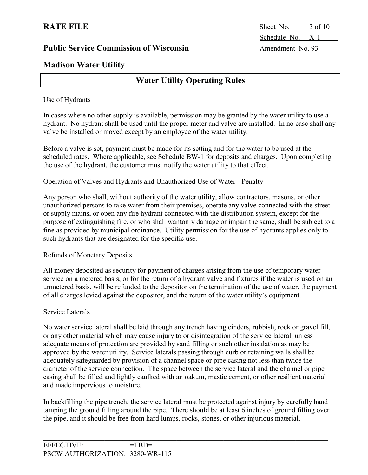**RATE FILE** Sheet No. 3 of 10 Schedule No. X-1

## **Madison Water Utility**

## **Water Utility Operating Rules**

### Use of Hydrants

In cases where no other supply is available, permission may be granted by the water utility to use a hydrant. No hydrant shall be used until the proper meter and valve are installed. In no case shall any valve be installed or moved except by an employee of the water utility.

Before a valve is set, payment must be made for its setting and for the water to be used at the scheduled rates. Where applicable, see Schedule BW-1 for deposits and charges. Upon completing the use of the hydrant, the customer must notify the water utility to that effect.

### Operation of Valves and Hydrants and Unauthorized Use of Water - Penalty

Any person who shall, without authority of the water utility, allow contractors, masons, or other unauthorized persons to take water from their premises, operate any valve connected with the street or supply mains, or open any fire hydrant connected with the distribution system, except for the purpose of extinguishing fire, or who shall wantonly damage or impair the same, shall be subject to a fine as provided by municipal ordinance. Utility permission for the use of hydrants applies only to such hydrants that are designated for the specific use.

### Refunds of Monetary Deposits

All money deposited as security for payment of charges arising from the use of temporary water service on a metered basis, or for the return of a hydrant valve and fixtures if the water is used on an unmetered basis, will be refunded to the depositor on the termination of the use of water, the payment of all charges levied against the depositor, and the return of the water utility's equipment.

### Service Laterals

No water service lateral shall be laid through any trench having cinders, rubbish, rock or gravel fill, or any other material which may cause injury to or disintegration of the service lateral, unless adequate means of protection are provided by sand filling or such other insulation as may be approved by the water utility. Service laterals passing through curb or retaining walls shall be adequately safeguarded by provision of a channel space or pipe casing not less than twice the diameter of the service connection. The space between the service lateral and the channel or pipe casing shall be filled and lightly caulked with an oakum, mastic cement, or other resilient material and made impervious to moisture.

In backfilling the pipe trench, the service lateral must be protected against injury by carefully hand tamping the ground filling around the pipe. There should be at least 6 inches of ground filling over the pipe, and it should be free from hard lumps, rocks, stones, or other injurious material.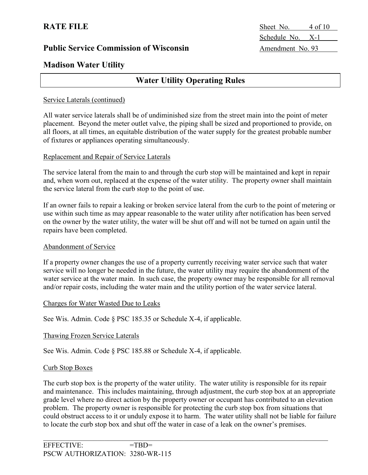# **RATE FILE** Sheet No. 4 of 10 Schedule No. X-1

## **Madison Water Utility**

## **Water Utility Operating Rules**

### Service Laterals (continued)

All water service laterals shall be of undiminished size from the street main into the point of meter placement. Beyond the meter outlet valve, the piping shall be sized and proportioned to provide, on all floors, at all times, an equitable distribution of the water supply for the greatest probable number of fixtures or appliances operating simultaneously.

### Replacement and Repair of Service Laterals

The service lateral from the main to and through the curb stop will be maintained and kept in repair and, when worn out, replaced at the expense of the water utility. The property owner shall maintain the service lateral from the curb stop to the point of use.

If an owner fails to repair a leaking or broken service lateral from the curb to the point of metering or use within such time as may appear reasonable to the water utility after notification has been served on the owner by the water utility, the water will be shut off and will not be turned on again until the repairs have been completed.

### Abandonment of Service

If a property owner changes the use of a property currently receiving water service such that water service will no longer be needed in the future, the water utility may require the abandonment of the water service at the water main. In such case, the property owner may be responsible for all removal and/or repair costs, including the water main and the utility portion of the water service lateral.

### Charges for Water Wasted Due to Leaks

See Wis. Admin. Code § PSC 185.35 or Schedule X-4, if applicable.

### Thawing Frozen Service Laterals

See Wis. Admin. Code § PSC 185.88 or Schedule X-4, if applicable.

### Curb Stop Boxes

The curb stop box is the property of the water utility. The water utility is responsible for its repair and maintenance. This includes maintaining, through adjustment, the curb stop box at an appropriate grade level where no direct action by the property owner or occupant has contributed to an elevation problem. The property owner is responsible for protecting the curb stop box from situations that could obstruct access to it or unduly expose it to harm. The water utility shall not be liable for failure to locate the curb stop box and shut off the water in case of a leak on the owner's premises.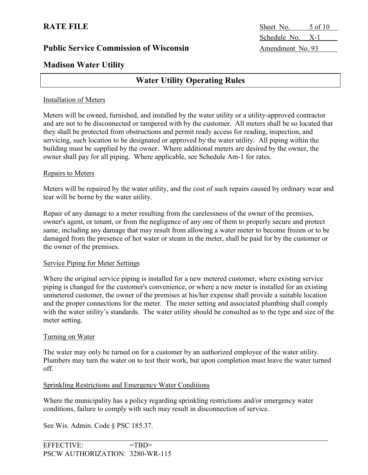**RATE FILE** Sheet No. 5 of 10 Schedule No. X-1

## **Madison Water Utility**

## **Water Utility Operating Rules**

### Installation of Meters

Meters will be owned, furnished, and installed by the water utility or a utility-approved contractor and are not to be disconnected or tampered with by the customer. All meters shall be so located that they shall be protected from obstructions and permit ready access for reading, inspection, and servicing, such location to be designated or approved by the water utility. All piping within the building must be supplied by the owner. Where additional meters are desired by the owner, the owner shall pay for all piping. Where applicable, see Schedule Am-1 for rates.

#### Repairs to Meters

Meters will be repaired by the water utility, and the cost of such repairs caused by ordinary wear and tear will be borne by the water utility.

Repair of any damage to a meter resulting from the carelessness of the owner of the premises, owner's agent, or tenant, or from the negligence of any one of them to properly secure and protect same, including any damage that may result from allowing a water meter to become frozen or to be damaged from the presence of hot water or steam in the meter, shall be paid for by the customer or the owner of the premises.

### Service Piping for Meter Settings

Where the original service piping is installed for a new metered customer, where existing service piping is changed for the customer's convenience, or where a new meter is installed for an existing unmetered customer, the owner of the premises at his/her expense shall provide a suitable location and the proper connections for the meter. The meter setting and associated plumbing shall comply with the water utility's standards. The water utility should be consulted as to the type and size of the meter setting.

### Turning on Water

The water may only be turned on for a customer by an authorized employee of the water utility. Plumbers may turn the water on to test their work, but upon completion must leave the water turned off.

### Sprinkling Restrictions and Emergency Water Conditions

Where the municipality has a policy regarding sprinkling restrictions and/or emergency water conditions, failure to comply with such may result in disconnection of service.

See Wis. Admin. Code § PSC 185.37.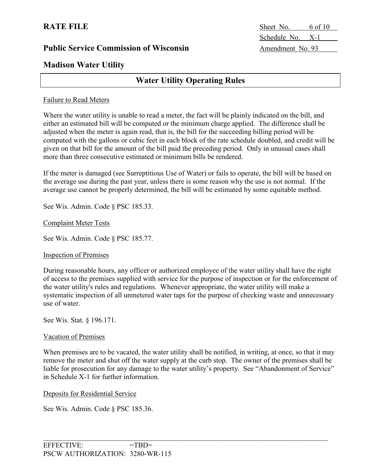# **RATE FILE** Sheet No. 6 of 10 Schedule No. X-1

## **Madison Water Utility**

## **Water Utility Operating Rules**

### Failure to Read Meters

Where the water utility is unable to read a meter, the fact will be plainly indicated on the bill, and either an estimated bill will be computed or the minimum charge applied. The difference shall be adjusted when the meter is again read, that is, the bill for the succeeding billing period will be computed with the gallons or cubic feet in each block of the rate schedule doubled, and credit will be given on that bill for the amount of the bill paid the preceding period. Only in unusual cases shall more than three consecutive estimated or minimum bills be rendered.

If the meter is damaged (see Surreptitious Use of Water) or fails to operate, the bill will be based on the average use during the past year, unless there is some reason why the use is not normal. If the average use cannot be properly determined, the bill will be estimated by some equitable method.

See Wis. Admin. Code § PSC 185.33.

#### Complaint Meter Tests

See Wis. Admin. Code § PSC 185.77.

### Inspection of Premises

During reasonable hours, any officer or authorized employee of the water utility shall have the right of access to the premises supplied with service for the purpose of inspection or for the enforcement of the water utility's rules and regulations. Whenever appropriate, the water utility will make a systematic inspection of all unmetered water taps for the purpose of checking waste and unnecessary use of water.

See Wis. Stat. § 196.171.

#### Vacation of Premises

When premises are to be vacated, the water utility shall be notified, in writing, at once, so that it may remove the meter and shut off the water supply at the curb stop. The owner of the premises shall be liable for prosecution for any damage to the water utility's property. See "Abandonment of Service" in Schedule X-1 for further information.

#### Deposits for Residential Service

See Wis. Admin. Code § PSC 185.36.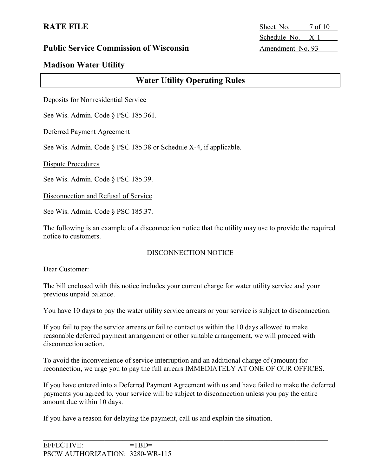**RATE FILE** Sheet No. 7 of 10 Schedule No. X-1

## **Madison Water Utility**

## **Water Utility Operating Rules**

Deposits for Nonresidential Service

See Wis. Admin. Code § PSC 185.361.

Deferred Payment Agreement

See Wis. Admin. Code § PSC 185.38 or Schedule X-4, if applicable.

Dispute Procedures

See Wis. Admin. Code § PSC 185.39.

Disconnection and Refusal of Service

See Wis. Admin. Code § PSC 185.37.

The following is an example of a disconnection notice that the utility may use to provide the required notice to customers.

### DISCONNECTION NOTICE

Dear Customer:

The bill enclosed with this notice includes your current charge for water utility service and your previous unpaid balance.

You have 10 days to pay the water utility service arrears or your service is subject to disconnection.

If you fail to pay the service arrears or fail to contact us within the 10 days allowed to make reasonable deferred payment arrangement or other suitable arrangement, we will proceed with disconnection action.

To avoid the inconvenience of service interruption and an additional charge of (amount) for reconnection, we urge you to pay the full arrears IMMEDIATELY AT ONE OF OUR OFFICES.

If you have entered into a Deferred Payment Agreement with us and have failed to make the deferred payments you agreed to, your service will be subject to disconnection unless you pay the entire amount due within 10 days.

If you have a reason for delaying the payment, call us and explain the situation.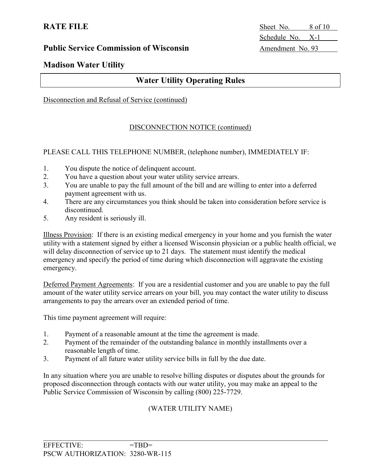**RATE FILE** Sheet No. 8 of 10 Schedule No. X-1

## **Madison Water Utility**

## **Water Utility Operating Rules**

### Disconnection and Refusal of Service (continued)

### DISCONNECTION NOTICE (continued)

### PLEASE CALL THIS TELEPHONE NUMBER, (telephone number), IMMEDIATELY IF:

- 1. You dispute the notice of delinquent account.
- 2. You have a question about your water utility service arrears.
- 3. You are unable to pay the full amount of the bill and are willing to enter into a deferred payment agreement with us.
- 4. There are any circumstances you think should be taken into consideration before service is discontinued.
- 5. Any resident is seriously ill.

Illness Provision: If there is an existing medical emergency in your home and you furnish the water utility with a statement signed by either a licensed Wisconsin physician or a public health official, we will delay disconnection of service up to 21 days. The statement must identify the medical emergency and specify the period of time during which disconnection will aggravate the existing emergency.

Deferred Payment Agreements: If you are a residential customer and you are unable to pay the full amount of the water utility service arrears on your bill, you may contact the water utility to discuss arrangements to pay the arrears over an extended period of time.

This time payment agreement will require:

- 1. Payment of a reasonable amount at the time the agreement is made.
- 2. Payment of the remainder of the outstanding balance in monthly installments over a reasonable length of time.
- 3. Payment of all future water utility service bills in full by the due date.

In any situation where you are unable to resolve billing disputes or disputes about the grounds for proposed disconnection through contacts with our water utility, you may make an appeal to the Public Service Commission of Wisconsin by calling (800) 225-7729.

### (WATER UTILITY NAME)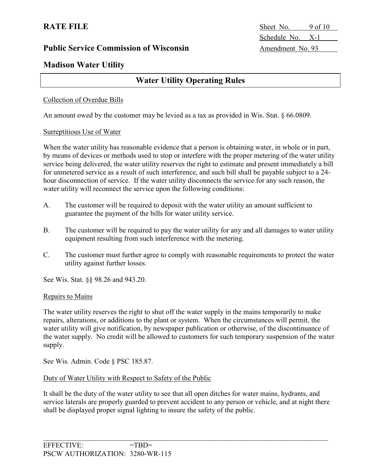**RATE FILE** Sheet No. 9 of 10 Schedule No. X-1

## **Madison Water Utility**

## **Water Utility Operating Rules**

### Collection of Overdue Bills

An amount owed by the customer may be levied as a tax as provided in Wis. Stat. § 66.0809.

#### Surreptitious Use of Water

When the water utility has reasonable evidence that a person is obtaining water, in whole or in part, by means of devices or methods used to stop or interfere with the proper metering of the water utility service being delivered, the water utility reserves the right to estimate and present immediately a bill for unmetered service as a result of such interference, and such bill shall be payable subject to a 24 hour disconnection of service. If the water utility disconnects the service for any such reason, the water utility will reconnect the service upon the following conditions:

- A. The customer will be required to deposit with the water utility an amount sufficient to guarantee the payment of the bills for water utility service.
- B. The customer will be required to pay the water utility for any and all damages to water utility equipment resulting from such interference with the metering.
- C. The customer must further agree to comply with reasonable requirements to protect the water utility against further losses.

See Wis. Stat. §§ 98.26 and 943.20.

### Repairs to Mains

The water utility reserves the right to shut off the water supply in the mains temporarily to make repairs, alterations, or additions to the plant or system. When the circumstances will permit, the water utility will give notification, by newspaper publication or otherwise, of the discontinuance of the water supply. No credit will be allowed to customers for such temporary suspension of the water supply.

See Wis. Admin. Code § PSC 185.87.

### Duty of Water Utility with Respect to Safety of the Public

It shall be the duty of the water utility to see that all open ditches for water mains, hydrants, and service laterals are properly guarded to prevent accident to any person or vehicle, and at night there shall be displayed proper signal lighting to insure the safety of the public.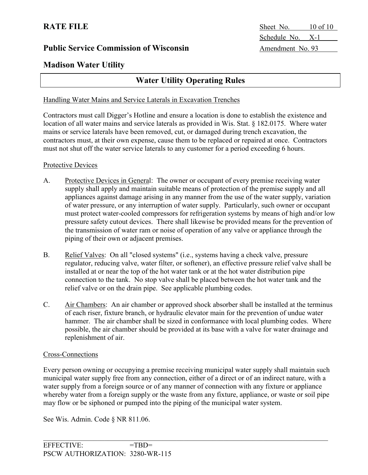**RATE FILE** Sheet No. 10 of 10 Schedule No. X-1

## **Madison Water Utility**

## **Water Utility Operating Rules**

### Handling Water Mains and Service Laterals in Excavation Trenches

Contractors must call Digger's Hotline and ensure a location is done to establish the existence and location of all water mains and service laterals as provided in Wis. Stat. § 182.0175. Where water mains or service laterals have been removed, cut, or damaged during trench excavation, the contractors must, at their own expense, cause them to be replaced or repaired at once. Contractors must not shut off the water service laterals to any customer for a period exceeding 6 hours.

### Protective Devices

- A. Protective Devices in General: The owner or occupant of every premise receiving water supply shall apply and maintain suitable means of protection of the premise supply and all appliances against damage arising in any manner from the use of the water supply, variation of water pressure, or any interruption of water supply. Particularly, such owner or occupant must protect water-cooled compressors for refrigeration systems by means of high and/or low pressure safety cutout devices. There shall likewise be provided means for the prevention of the transmission of water ram or noise of operation of any valve or appliance through the piping of their own or adjacent premises.
- B. Relief Valves: On all "closed systems" (i.e., systems having a check valve, pressure regulator, reducing valve, water filter, or softener), an effective pressure relief valve shall be installed at or near the top of the hot water tank or at the hot water distribution pipe connection to the tank. No stop valve shall be placed between the hot water tank and the relief valve or on the drain pipe. See applicable plumbing codes.
- C. Air Chambers: An air chamber or approved shock absorber shall be installed at the terminus of each riser, fixture branch, or hydraulic elevator main for the prevention of undue water hammer. The air chamber shall be sized in conformance with local plumbing codes. Where possible, the air chamber should be provided at its base with a valve for water drainage and replenishment of air.

### Cross-Connections

Every person owning or occupying a premise receiving municipal water supply shall maintain such municipal water supply free from any connection, either of a direct or of an indirect nature, with a water supply from a foreign source or of any manner of connection with any fixture or appliance whereby water from a foreign supply or the waste from any fixture, appliance, or waste or soil pipe may flow or be siphoned or pumped into the piping of the municipal water system.

See Wis. Admin. Code § NR 811.06.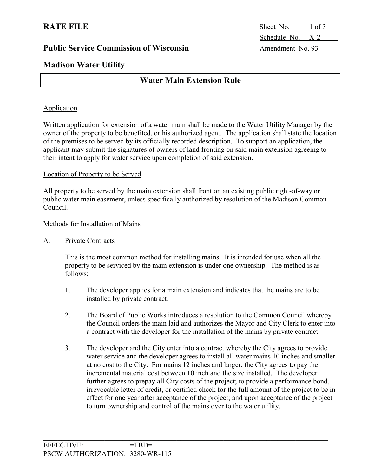**RATE FILE** Sheet No. 1 of 3 Schedule No. X-2

## **Madison Water Utility**

## **Water Main Extension Rule**

### **Application**

Written application for extension of a water main shall be made to the Water Utility Manager by the owner of the property to be benefited, or his authorized agent. The application shall state the location of the premises to be served by its officially recorded description. To support an application, the applicant may submit the signatures of owners of land fronting on said main extension agreeing to their intent to apply for water service upon completion of said extension.

### Location of Property to be Served

All property to be served by the main extension shall front on an existing public right-of-way or public water main easement, unless specifically authorized by resolution of the Madison Common Council.

### Methods for Installation of Mains

### A. Private Contracts

This is the most common method for installing mains. It is intended for use when all the property to be serviced by the main extension is under one ownership. The method is as follows:

- 1. The developer applies for a main extension and indicates that the mains are to be installed by private contract.
- 2. The Board of Public Works introduces a resolution to the Common Council whereby the Council orders the main laid and authorizes the Mayor and City Clerk to enter into a contract with the developer for the installation of the mains by private contract.
- 3. The developer and the City enter into a contract whereby the City agrees to provide water service and the developer agrees to install all water mains 10 inches and smaller at no cost to the City. For mains 12 inches and larger, the City agrees to pay the incremental material cost between 10 inch and the size installed. The developer further agrees to prepay all City costs of the project; to provide a performance bond, irrevocable letter of credit, or certified check for the full amount of the project to be in effect for one year after acceptance of the project; and upon acceptance of the project to turn ownership and control of the mains over to the water utility.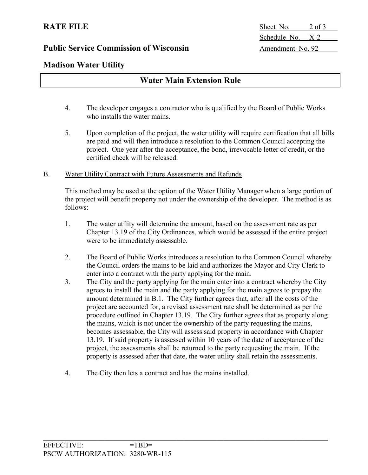**RATE FILE** Sheet No. 2 of 3 Schedule No. X-2

## **Madison Water Utility**

|  |  | <b>Water Main Extension Rule</b> |  |
|--|--|----------------------------------|--|
|--|--|----------------------------------|--|

- 4. The developer engages a contractor who is qualified by the Board of Public Works who installs the water mains.
- 5. Upon completion of the project, the water utility will require certification that all bills are paid and will then introduce a resolution to the Common Council accepting the project. One year after the acceptance, the bond, irrevocable letter of credit, or the certified check will be released.

### B. Water Utility Contract with Future Assessments and Refunds

This method may be used at the option of the Water Utility Manager when a large portion of the project will benefit property not under the ownership of the developer. The method is as follows:

- 1. The water utility will determine the amount, based on the assessment rate as per Chapter 13.19 of the City Ordinances, which would be assessed if the entire project were to be immediately assessable.
- 2. The Board of Public Works introduces a resolution to the Common Council whereby the Council orders the mains to be laid and authorizes the Mayor and City Clerk to enter into a contract with the party applying for the main.
- 3. The City and the party applying for the main enter into a contract whereby the City agrees to install the main and the party applying for the main agrees to prepay the amount determined in B.1. The City further agrees that, after all the costs of the project are accounted for, a revised assessment rate shall be determined as per the procedure outlined in Chapter 13.19. The City further agrees that as property along the mains, which is not under the ownership of the party requesting the mains, becomes assessable, the City will assess said property in accordance with Chapter 13.19. If said property is assessed within 10 years of the date of acceptance of the project, the assessments shall be returned to the party requesting the main. If the property is assessed after that date, the water utility shall retain the assessments.
- 4. The City then lets a contract and has the mains installed.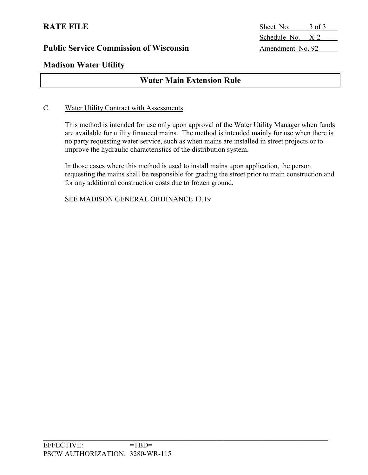**RATE FILE** Sheet No. 3 of 3 Schedule No. X-2

## **Madison Water Utility**

## **Water Main Extension Rule**

### C. Water Utility Contract with Assessments

This method is intended for use only upon approval of the Water Utility Manager when funds are available for utility financed mains. The method is intended mainly for use when there is no party requesting water service, such as when mains are installed in street projects or to improve the hydraulic characteristics of the distribution system.

In those cases where this method is used to install mains upon application, the person requesting the mains shall be responsible for grading the street prior to main construction and for any additional construction costs due to frozen ground.

SEE MADISON GENERAL ORDINANCE 13.19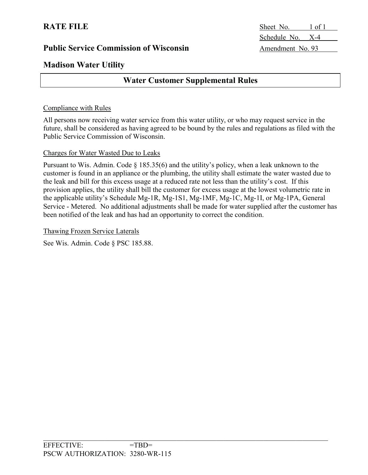# **RATE FILE** Sheet No. 1 of 1 Schedule No. X-4

## **Madison Water Utility**

## **Water Customer Supplemental Rules**

### Compliance with Rules

All persons now receiving water service from this water utility, or who may request service in the future, shall be considered as having agreed to be bound by the rules and regulations as filed with the Public Service Commission of Wisconsin.

### Charges for Water Wasted Due to Leaks

Pursuant to Wis. Admin. Code § 185.35(6) and the utility's policy, when a leak unknown to the customer is found in an appliance or the plumbing, the utility shall estimate the water wasted due to the leak and bill for this excess usage at a reduced rate not less than the utility's cost. If this provision applies, the utility shall bill the customer for excess usage at the lowest volumetric rate in the applicable utility's Schedule Mg-1R, Mg-1S1, Mg-1MF, Mg-1C, Mg-1I, or Mg-1PA, General Service - Metered. No additional adjustments shall be made for water supplied after the customer has been notified of the leak and has had an opportunity to correct the condition.

Thawing Frozen Service Laterals

See Wis. Admin. Code § PSC 185.88.